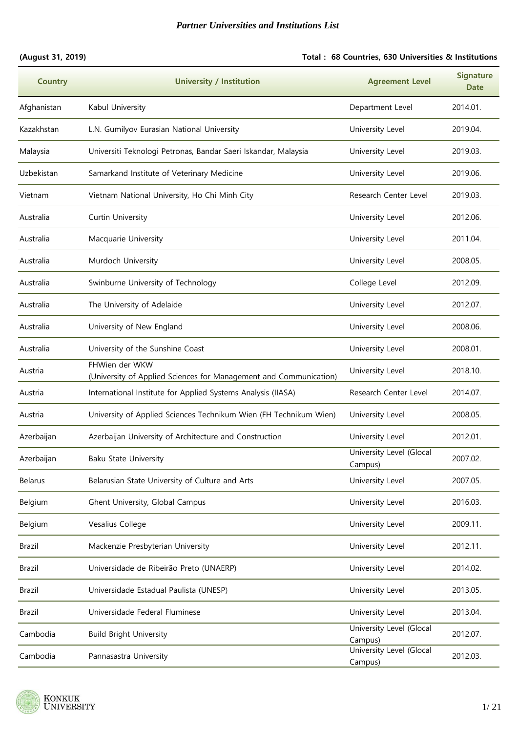#### **(August 31, 2019) Total : 68 Countries, 630 Universities & Institutions**

| <b>Country</b> | <b>University / Institution</b>                                                     | <b>Agreement Level</b>              | <b>Signature</b><br><b>Date</b> |
|----------------|-------------------------------------------------------------------------------------|-------------------------------------|---------------------------------|
| Afghanistan    | Kabul University                                                                    | Department Level                    | 2014.01.                        |
| Kazakhstan     | L.N. Gumilyov Eurasian National University                                          | University Level                    | 2019.04.                        |
| Malaysia       | Universiti Teknologi Petronas, Bandar Saeri Iskandar, Malaysia                      | University Level                    | 2019.03.                        |
| Uzbekistan     | Samarkand Institute of Veterinary Medicine                                          | University Level                    | 2019.06.                        |
| Vietnam        | Vietnam National University, Ho Chi Minh City                                       | Research Center Level               | 2019.03.                        |
| Australia      | Curtin University                                                                   | University Level                    | 2012.06.                        |
| Australia      | Macquarie University                                                                | University Level                    | 2011.04.                        |
| Australia      | Murdoch University                                                                  | University Level                    | 2008.05.                        |
| Australia      | Swinburne University of Technology                                                  | College Level                       | 2012.09.                        |
| Australia      | The University of Adelaide                                                          | University Level                    | 2012.07.                        |
| Australia      | University of New England                                                           | University Level                    | 2008.06.                        |
| Australia      | University of the Sunshine Coast                                                    | University Level                    | 2008.01.                        |
| Austria        | FHWien der WKW<br>(University of Applied Sciences for Management and Communication) | University Level                    | 2018.10.                        |
| Austria        | International Institute for Applied Systems Analysis (IIASA)                        | Research Center Level               | 2014.07.                        |
| Austria        | University of Applied Sciences Technikum Wien (FH Technikum Wien)                   | University Level                    | 2008.05.                        |
| Azerbaijan     | Azerbaijan University of Architecture and Construction                              | University Level                    | 2012.01.                        |
| Azerbaijan     | Baku State University                                                               | University Level (Glocal<br>Campus) | 2007.02.                        |
| <b>Belarus</b> | Belarusian State University of Culture and Arts                                     | University Level                    | 2007.05.                        |
| Belgium        | Ghent University, Global Campus                                                     | University Level                    | 2016.03.                        |
| Belgium        | Vesalius College                                                                    | University Level                    | 2009.11.                        |
| Brazil         | Mackenzie Presbyterian University                                                   | University Level                    | 2012.11.                        |
| Brazil         | Universidade de Ribeirão Preto (UNAERP)                                             | University Level                    | 2014.02.                        |
| Brazil         | Universidade Estadual Paulista (UNESP)                                              | University Level                    | 2013.05.                        |
| Brazil         | Universidade Federal Fluminese                                                      | University Level                    | 2013.04.                        |
| Cambodia       | <b>Build Bright University</b>                                                      | University Level (Glocal<br>Campus) | 2012.07.                        |
| Cambodia       | Pannasastra University                                                              | University Level (Glocal<br>Campus) | 2012.03.                        |

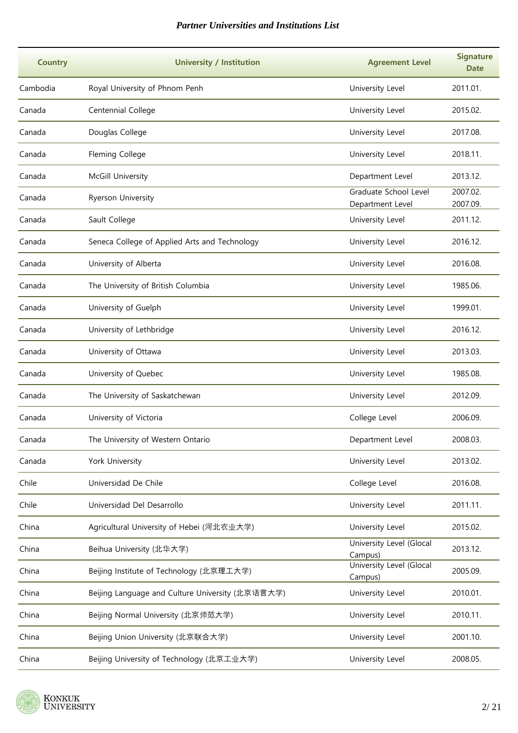| <b>Country</b> | <b>University / Institution</b>                  | <b>Agreement Level</b>                    | <b>Signature</b><br><b>Date</b> |
|----------------|--------------------------------------------------|-------------------------------------------|---------------------------------|
| Cambodia       | Royal University of Phnom Penh                   | University Level                          | 2011.01.                        |
| Canada         | Centennial College                               | University Level                          | 2015.02.                        |
| Canada         | Douglas College                                  | University Level                          | 2017.08.                        |
| Canada         | Fleming College                                  | University Level                          | 2018.11.                        |
| Canada         | McGill University                                | Department Level                          | 2013.12.                        |
| Canada         | Ryerson University                               | Graduate School Level<br>Department Level | 2007.02.<br>2007.09.            |
| Canada         | Sault College                                    | University Level                          | 2011.12.                        |
| Canada         | Seneca College of Applied Arts and Technology    | University Level                          | 2016.12.                        |
| Canada         | University of Alberta                            | University Level                          | 2016.08.                        |
| Canada         | The University of British Columbia               | University Level                          | 1985.06.                        |
| Canada         | University of Guelph                             | University Level                          | 1999.01.                        |
| Canada         | University of Lethbridge                         | University Level                          | 2016.12.                        |
| Canada         | University of Ottawa                             | University Level                          | 2013.03.                        |
| Canada         | University of Quebec                             | University Level                          | 1985.08.                        |
| Canada         | The University of Saskatchewan                   | University Level                          | 2012.09.                        |
| Canada         | University of Victoria                           | College Level                             | 2006.09.                        |
| Canada         | The University of Western Ontario                | Department Level                          | 2008.03.                        |
| Canada         | York University                                  | University Level                          | 2013.02.                        |
| Chile          | Universidad De Chile                             | College Level                             | 2016.08.                        |
| Chile          | Universidad Del Desarrollo                       | University Level                          | 2011.11.                        |
| China          | Agricultural University of Hebei (河北农业大学)        | University Level                          | 2015.02.                        |
| China          | Beihua University (北华大学)                         | University Level (Glocal<br>Campus)       | 2013.12.                        |
| China          | Beijing Institute of Technology (北京理工大学)         | University Level (Glocal<br>Campus)       | 2005.09.                        |
| China          | Beijing Language and Culture University (北京语言大学) | University Level                          | 2010.01.                        |
| China          | Beijing Normal University (北京师范大学)               | University Level                          | 2010.11.                        |
| China          | Beijing Union University (北京联合大学)                | University Level                          | 2001.10.                        |
| China          | Beijing University of Technology (北京工业大学)        | University Level                          | 2008.05.                        |

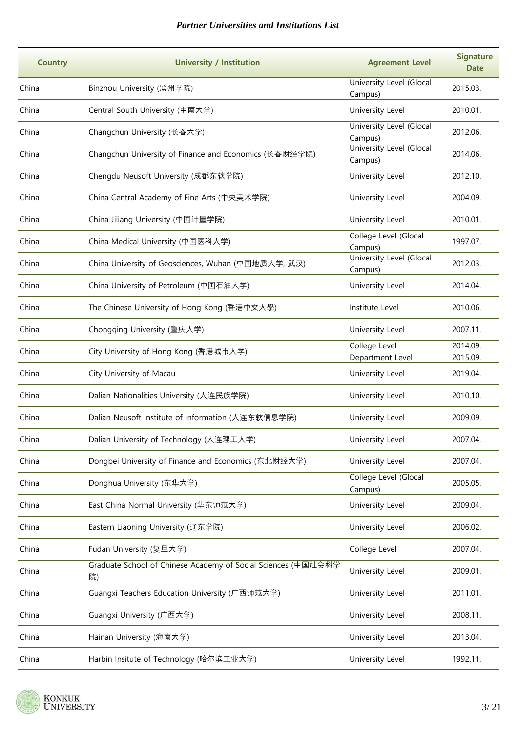| <b>Country</b> | <b>University / Institution</b>                                     | <b>Agreement Level</b>              | <b>Signature</b><br><b>Date</b> |
|----------------|---------------------------------------------------------------------|-------------------------------------|---------------------------------|
| China          | Binzhou University (滨州学院)                                           | University Level (Glocal<br>Campus) | 2015.03.                        |
| China          | Central South University (中南大学)                                     | University Level                    | 2010.01.                        |
| China          | Changchun University (长春大学)                                         | University Level (Glocal<br>Campus) | 2012.06.                        |
| China          | Changchun University of Finance and Economics (长春财经学院)              | University Level (Glocal<br>Campus) | 2014.06.                        |
| China          | Chengdu Neusoft University (成都东软学院)                                 | University Level                    | 2012.10.                        |
| China          | China Central Academy of Fine Arts (中央美术学院)                         | University Level                    | 2004.09.                        |
| China          | China Jiliang University (中国计量学院)                                   | University Level                    | 2010.01.                        |
| China          | China Medical University (中国医科大学)                                   | College Level (Glocal<br>Campus)    | 1997.07.                        |
| China          | China University of Geosciences, Wuhan (中国地质大学, 武汉)                 | University Level (Glocal<br>Campus) | 2012.03.                        |
| China          | China University of Petroleum (中国石油大学)                              | University Level                    | 2014.04.                        |
| China          | The Chinese University of Hong Kong (香港中文大學)                        | Institute Level                     | 2010.06.                        |
| China          | Chongqing University (重庆大学)                                         | University Level                    | 2007.11.                        |
| China          | City University of Hong Kong (香港城市大学)                               | College Level<br>Department Level   | 2014.09.<br>2015.09.            |
| China          | City University of Macau                                            | University Level                    | 2019.04.                        |
| China          | Dalian Nationalities University (大连民族学院)                            | University Level                    | 2010.10.                        |
| China          | Dalian Neusoft Institute of Information (大连东软信息学院)                  | University Level                    | 2009.09.                        |
| China          | Dalian University of Technology (大连理工大学)                            | University Level                    | 2007.04.                        |
| China          | Dongbei University of Finance and Economics (东北财经大学)                | University Level                    | 2007.04.                        |
| China          | Donghua University (东华大学)                                           | College Level (Glocal<br>Campus)    | 2005.05.                        |
| China          | East China Normal University (华东师范大学)                               | University Level                    | 2009.04.                        |
| China          | Eastern Liaoning University (辽东学院)                                  | University Level                    | 2006.02.                        |
| China          | Fudan University (复旦大学)                                             | College Level                       | 2007.04.                        |
| China          | Graduate School of Chinese Academy of Social Sciences (中国社会科学<br>院) | University Level                    | 2009.01.                        |
| China          | Guangxi Teachers Education University (广西师范大学)                      | University Level                    | 2011.01.                        |
| China          | Guangxi University (广西大学)                                           | University Level                    | 2008.11.                        |
| China          | Hainan University (海南大学)                                            | University Level                    | 2013.04.                        |
| China          | Harbin Insitute of Technology (哈尔滨工业大学)                             | University Level                    | 1992.11.                        |

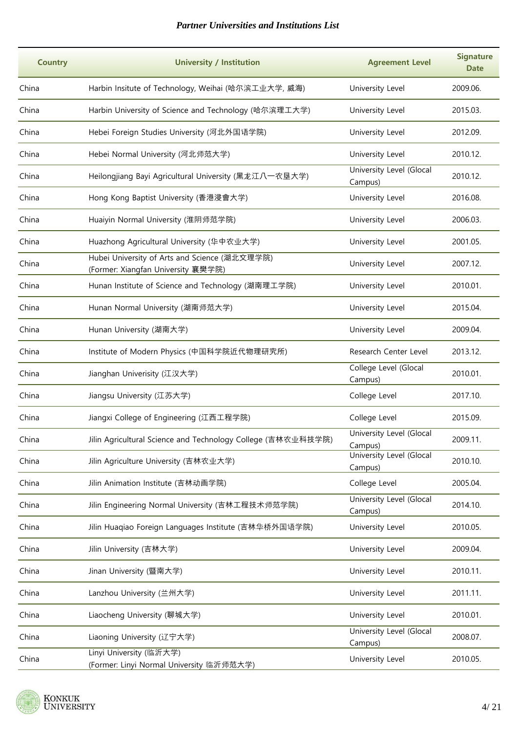| <b>Country</b> | <b>University / Institution</b>                                                     | <b>Agreement Level</b>              | <b>Signature</b><br><b>Date</b> |
|----------------|-------------------------------------------------------------------------------------|-------------------------------------|---------------------------------|
| China          | Harbin Insitute of Technology, Weihai (哈尔滨工业大学, 威海)                                 | University Level                    | 2009.06.                        |
| China          | Harbin University of Science and Technology (哈尔滨理工大学)                               | University Level                    | 2015.03.                        |
| China          | Hebei Foreign Studies University (河北外国语学院)                                          | University Level                    | 2012.09.                        |
| China          | Hebei Normal University (河北师范大学)                                                    | University Level                    | 2010.12.                        |
| China          | Heilongjiang Bayi Agricultural University (黑龙江八一农垦大学)                               | University Level (Glocal<br>Campus) | 2010.12.                        |
| China          | Hong Kong Baptist University (香港浸會大学)                                               | University Level                    | 2016.08.                        |
| China          | Huaiyin Normal University (淮阴师范学院)                                                  | University Level                    | 2006.03.                        |
| China          | Huazhong Agricultural University (华中农业大学)                                           | University Level                    | 2001.05.                        |
| China          | Hubei University of Arts and Science (湖北文理学院)<br>(Former: Xiangfan University 襄樊学院) | University Level                    | 2007.12.                        |
| China          | Hunan Institute of Science and Technology (湖南理工学院)                                  | University Level                    | 2010.01.                        |
| China          | Hunan Normal University (湖南师范大学)                                                    | University Level                    | 2015.04.                        |
| China          | Hunan University (湖南大学)                                                             | University Level                    | 2009.04.                        |
| China          | Institute of Modern Physics (中国科学院近代物理研究所)                                          | Research Center Level               | 2013.12.                        |
| China          | Jianghan Univerisity (江汉大学)                                                         | College Level (Glocal<br>Campus)    | 2010.01.                        |
| China          | Jiangsu University (江苏大学)                                                           | College Level                       | 2017.10.                        |
| China          | Jiangxi College of Engineering (江西工程学院)                                             | College Level                       | 2015.09.                        |
| China          | Jilin Agricultural Science and Technology College (吉林农业科技学院)                        | University Level (Glocal<br>Campus) | 2009.11.                        |
| China          | Jilin Agriculture University (吉林农业大学)                                               | University Level (Glocal<br>Campus) | 2010.10.                        |
| China          | Jilin Animation Institute (吉林动画学院)                                                  | College Level                       | 2005.04.                        |
| China          | Jilin Engineering Normal University (吉林工程技术师范学院)                                    | University Level (Glocal<br>Campus) | 2014.10.                        |
| China          | Jilin Huaqiao Foreign Languages Institute (吉林华桥外国语学院)                               | University Level                    | 2010.05.                        |
| China          | Jilin University (吉林大学)                                                             | University Level                    | 2009.04.                        |
| China          | Jinan University (暨南大学)                                                             | University Level                    | 2010.11.                        |
| China          | Lanzhou University (兰州大学)                                                           | University Level                    | 2011.11.                        |
| China          | Liaocheng University (聊城大学)                                                         | University Level                    | 2010.01.                        |
| China          | Liaoning University (辽宁大学)                                                          | University Level (Glocal<br>Campus) | 2008.07.                        |
| China          | Linyi University (临沂大学)<br>(Former: Linyi Normal University 临沂师范大学)                 | University Level                    | 2010.05.                        |

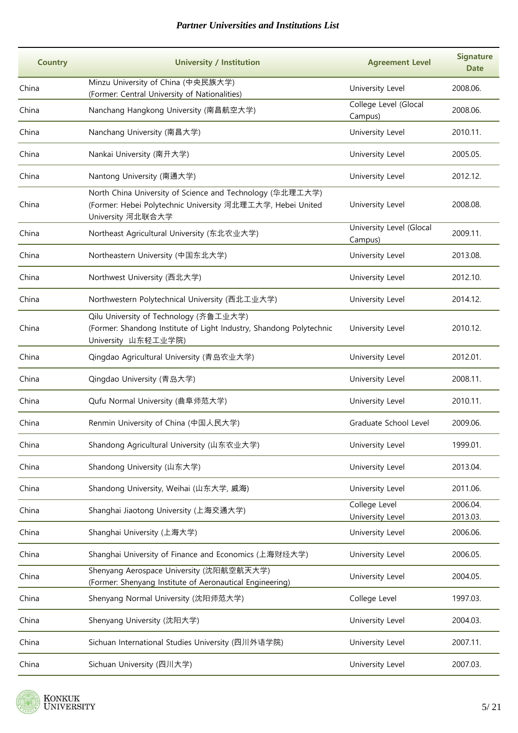| <b>Country</b> | <b>University / Institution</b>                                                                                                              | <b>Agreement Level</b>              | <b>Signature</b><br><b>Date</b> |
|----------------|----------------------------------------------------------------------------------------------------------------------------------------------|-------------------------------------|---------------------------------|
| China          | Minzu University of China (中央民族大学)<br>(Former: Central University of Nationalities)                                                          | University Level                    | 2008.06.                        |
| China          | Nanchang Hangkong University (南昌航空大学)                                                                                                        | College Level (Glocal<br>Campus)    | 2008.06.                        |
| China          | Nanchang University (南昌大学)                                                                                                                   | University Level                    | 2010.11.                        |
| China          | Nankai University (南开大学)                                                                                                                     | University Level                    | 2005.05.                        |
| China          | Nantong University (南通大学)                                                                                                                    | University Level                    | 2012.12.                        |
| China          | North China University of Science and Technology (华北理工大学)<br>(Former: Hebei Polytechnic University 河北理工大学, Hebei United<br>University 河北联合大学 | University Level                    | 2008.08.                        |
| China          | Northeast Agricultural University (东北农业大学)                                                                                                   | University Level (Glocal<br>Campus) | 2009.11.                        |
| China          | Northeastern University (中国东北大学)                                                                                                             | University Level                    | 2013.08.                        |
| China          | Northwest University (西北大学)                                                                                                                  | University Level                    | 2012.10.                        |
| China          | Northwestern Polytechnical University (西北工业大学)                                                                                               | University Level                    | 2014.12.                        |
| China          | Qilu University of Technology (齐鲁工业大学)<br>(Former: Shandong Institute of Light Industry, Shandong Polytechnic<br>University 山东轻工业学院)         | University Level                    | 2010.12.                        |
| China          | Qingdao Agricultural University (青岛农业大学)                                                                                                     | University Level                    | 2012.01.                        |
| China          | Qingdao University (青岛大学)                                                                                                                    | University Level                    | 2008.11.                        |
| China          | Qufu Normal University (曲阜师范大学)                                                                                                              | University Level                    | 2010.11.                        |
| China          | Renmin University of China (中国人民大学)                                                                                                          | Graduate School Level               | 2009.06.                        |
| China          | Shandong Agricultural University (山东农业大学)                                                                                                    | University Level                    | 1999.01.                        |
| China          | Shandong University (山东大学)                                                                                                                   | University Level                    | 2013.04.                        |
| China          | Shandong University, Weihai (山东大学, 威海)                                                                                                       | University Level                    | 2011.06.                        |
| China          | Shanghai Jiaotong University (上海交通大学)                                                                                                        | College Level<br>University Level   | 2006.04.<br>2013.03.            |
| China          | Shanghai University (上海大学)                                                                                                                   | University Level                    | 2006.06.                        |
| China          | Shanghai University of Finance and Economics (上海财经大学)                                                                                        | University Level                    | 2006.05.                        |
| China          | Shenyang Aerospace University (沈阳航空航天大学)<br>(Former: Shenyang Institute of Aeronautical Engineering)                                         | University Level                    | 2004.05.                        |
| China          | Shenyang Normal University (沈阳师范大学)                                                                                                          | College Level                       | 1997.03.                        |
| China          | Shenyang University (沈阳大学)                                                                                                                   | University Level                    | 2004.03.                        |
| China          | Sichuan International Studies University (四川外语学院)                                                                                            | University Level                    | 2007.11.                        |
| China          | Sichuan University (四川大学)                                                                                                                    | University Level                    | 2007.03.                        |

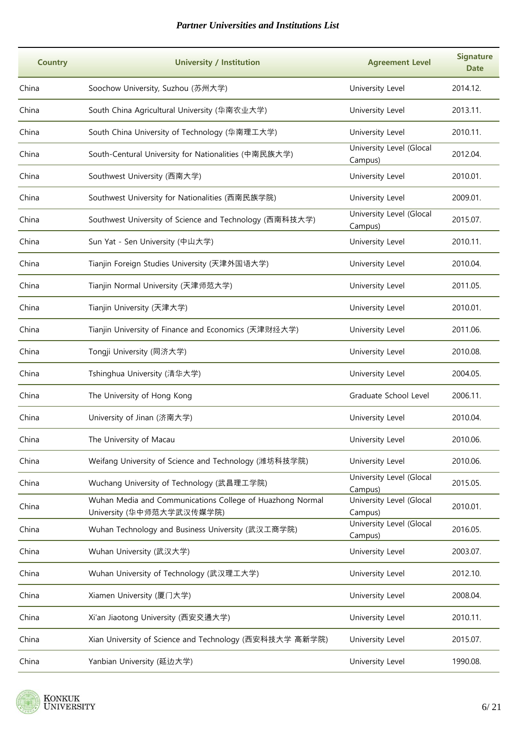| <b>Country</b> | <b>University / Institution</b>                                                        | <b>Agreement Level</b>              | <b>Signature</b><br><b>Date</b> |
|----------------|----------------------------------------------------------------------------------------|-------------------------------------|---------------------------------|
| China          | Soochow University, Suzhou (苏州大学)                                                      | University Level                    | 2014.12.                        |
| China          | South China Agricultural University (华南农业大学)                                           | University Level                    | 2013.11.                        |
| China          | South China University of Technology (华南理工大学)                                          | University Level                    | 2010.11.                        |
| China          | South-Centural University for Nationalities (中南民族大学)                                   | University Level (Glocal<br>Campus) | 2012.04.                        |
| China          | Southwest University (西南大学)                                                            | University Level                    | 2010.01.                        |
| China          | Southwest University for Nationalities (西南民族学院)                                        | University Level                    | 2009.01.                        |
| China          | Southwest University of Science and Technology (西南科技大学)                                | University Level (Glocal<br>Campus) | 2015.07.                        |
| China          | Sun Yat - Sen University (中山大学)                                                        | University Level                    | 2010.11.                        |
| China          | Tianjin Foreign Studies University (天津外国语大学)                                           | University Level                    | 2010.04.                        |
| China          | Tianjin Normal University (天津师范大学)                                                     | University Level                    | 2011.05.                        |
| China          | Tianjin University (天津大学)                                                              | University Level                    | 2010.01.                        |
| China          | Tianjin University of Finance and Economics (天津财经大学)                                   | University Level                    | 2011.06.                        |
| China          | Tongji University (同济大学)                                                               | University Level                    | 2010.08.                        |
| China          | Tshinghua University (清华大学)                                                            | University Level                    | 2004.05.                        |
| China          | The University of Hong Kong                                                            | Graduate School Level               | 2006.11.                        |
| China          | University of Jinan (济南大学)                                                             | University Level                    | 2010.04.                        |
| China          | The University of Macau                                                                | University Level                    | 2010.06.                        |
| China          | Weifang University of Science and Technology (潍坊科技学院)                                  | University Level                    | 2010.06.                        |
| China          | Wuchang University of Technology (武昌理工学院)                                              | University Level (Glocal<br>Campus) | 2015.05.                        |
| China          | Wuhan Media and Communications College of Huazhong Normal<br>University (华中师范大学武汉传媒学院) | University Level (Glocal<br>Campus) | 2010.01.                        |
| China          | Wuhan Technology and Business University (武汉工商学院)                                      | University Level (Glocal<br>Campus) | 2016.05.                        |
| China          | Wuhan University (武汉大学)                                                                | University Level                    | 2003.07.                        |
| China          | Wuhan University of Technology (武汉理工大学)                                                | University Level                    | 2012.10.                        |
| China          | Xiamen University (厦门大学)                                                               | University Level                    | 2008.04.                        |
| China          | Xi'an Jiaotong University (西安交通大学)                                                     | University Level                    | 2010.11.                        |
| China          | Xian University of Science and Technology (西安科技大学 高新学院)                                | University Level                    | 2015.07.                        |
| China          | Yanbian University (延边大学)                                                              | University Level                    | 1990.08.                        |

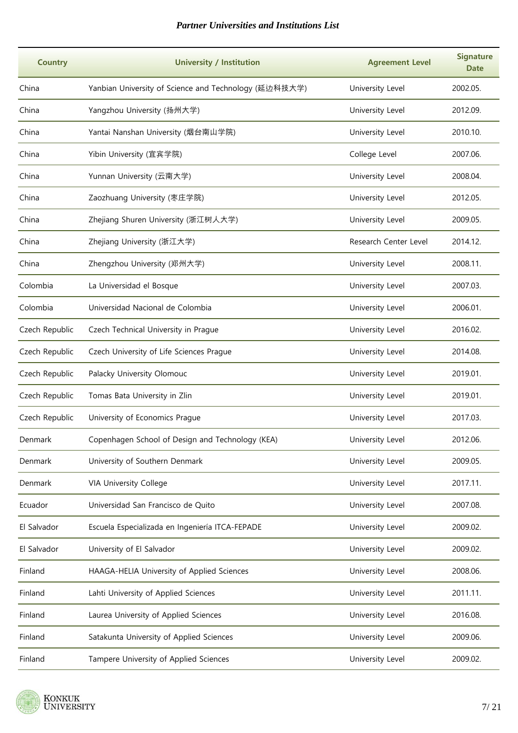| <b>Country</b> | <b>University / Institution</b>                       | <b>Agreement Level</b> | <b>Signature</b><br><b>Date</b> |
|----------------|-------------------------------------------------------|------------------------|---------------------------------|
| China          | Yanbian University of Science and Technology (延边科技大学) | University Level       | 2002.05.                        |
| China          | Yangzhou University (扬州大学)                            | University Level       | 2012.09.                        |
| China          | Yantai Nanshan University (烟台南山学院)                    | University Level       | 2010.10.                        |
| China          | Yibin University (宜宾学院)                               | College Level          | 2007.06.                        |
| China          | Yunnan University (云南大学)                              | University Level       | 2008.04.                        |
| China          | Zaozhuang University (枣庄学院)                           | University Level       | 2012.05.                        |
| China          | Zhejiang Shuren University (浙江树人大学)                   | University Level       | 2009.05.                        |
| China          | Zhejiang University (浙江大学)                            | Research Center Level  | 2014.12.                        |
| China          | Zhengzhou University (郑州大学)                           | University Level       | 2008.11.                        |
| Colombia       | La Universidad el Bosque                              | University Level       | 2007.03.                        |
| Colombia       | Universidad Nacional de Colombia                      | University Level       | 2006.01.                        |
| Czech Republic | Czech Technical University in Prague                  | University Level       | 2016.02.                        |
| Czech Republic | Czech University of Life Sciences Prague              | University Level       | 2014.08.                        |
| Czech Republic | Palacky University Olomouc                            | University Level       | 2019.01.                        |
| Czech Republic | Tomas Bata University in Zlin                         | University Level       | 2019.01.                        |
| Czech Republic | University of Economics Prague                        | University Level       | 2017.03.                        |
| Denmark        | Copenhagen School of Design and Technology (KEA)      | University Level       | 2012.06.                        |
| Denmark        | University of Southern Denmark                        | University Level       | 2009.05.                        |
| Denmark        | VIA University College                                | University Level       | 2017.11.                        |
| Ecuador        | Universidad San Francisco de Quito                    | University Level       | 2007.08.                        |
| El Salvador    | Escuela Especializada en Ingeniería ITCA-FEPADE       | University Level       | 2009.02.                        |
| El Salvador    | University of El Salvador                             | University Level       | 2009.02.                        |
| Finland        | HAAGA-HELIA University of Applied Sciences            | University Level       | 2008.06.                        |
| Finland        | Lahti University of Applied Sciences                  | University Level       | 2011.11.                        |
| Finland        | Laurea University of Applied Sciences                 | University Level       | 2016.08.                        |
| Finland        | Satakunta University of Applied Sciences              | University Level       | 2009.06.                        |
| Finland        | Tampere University of Applied Sciences                | University Level       | 2009.02.                        |

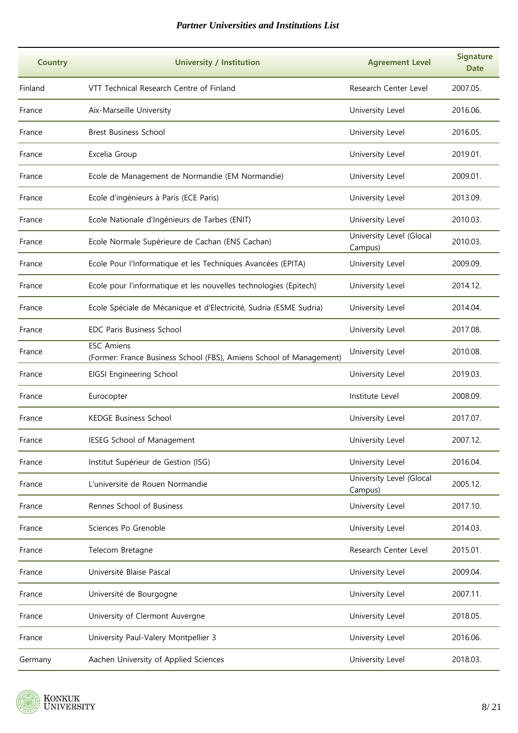| <b>Country</b> | <b>University / Institution</b>                                                          | <b>Agreement Level</b>              | <b>Signature</b><br><b>Date</b> |
|----------------|------------------------------------------------------------------------------------------|-------------------------------------|---------------------------------|
| Finland        | VTT Technical Research Centre of Finland                                                 | Research Center Level               | 2007.05.                        |
| France         | Aix-Marseille University                                                                 | University Level                    | 2016.06.                        |
| France         | <b>Brest Business School</b>                                                             | University Level                    | 2016.05.                        |
| France         | Excelia Group                                                                            | University Level                    | 2019.01.                        |
| France         | Ecole de Management de Normandie (EM Normandie)                                          | University Level                    | 2009.01.                        |
| France         | Ecole d'ingénieurs à Paris (ECE Paris)                                                   | University Level                    | 2013.09.                        |
| France         | Ecole Nationale d'Ingénieurs de Tarbes (ENIT)                                            | University Level                    | 2010.03.                        |
| France         | Ecole Normale Supérieure de Cachan (ENS Cachan)                                          | University Level (Glocal<br>Campus) | 2010.03.                        |
| France         | Ecole Pour l'Informatique et les Techniques Avancées (EPITA)                             | University Level                    | 2009.09.                        |
| France         | Ecole pour l'informatique et les nouvelles technologies (Epitech)                        | University Level                    | 2014.12.                        |
| France         | Ecole Spéciale de Mécanique et d'Electricité, Sudria (ESME Sudria)                       | University Level                    | 2014.04.                        |
| France         | <b>EDC Paris Business School</b>                                                         | University Level                    | 2017.08.                        |
| France         | <b>ESC Amiens</b><br>(Former: France Business School (FBS), Amiens School of Management) | University Level                    | 2010.08.                        |
| France         | EIGSI Engineering School                                                                 | University Level                    | 2019.03.                        |
| France         | Eurocopter                                                                               | Institute Level                     | 2008.09.                        |
| France         | <b>KEDGE Business School</b>                                                             | University Level                    | 2017.07.                        |
| France         | IESEG School of Management                                                               | University Level                    | 2007.12.                        |
| France         | Institut Supérieur de Gestion (ISG)                                                      | University Level                    | 2016.04.                        |
| France         | L'universite de Rouen Normandie                                                          | University Level (Glocal<br>Campus) | 2005.12.                        |
| France         | Rennes School of Business                                                                | University Level                    | 2017.10.                        |
| France         | Sciences Po Grenoble                                                                     | University Level                    | 2014.03.                        |
| France         | Telecom Bretagne                                                                         | Research Center Level               | 2015.01.                        |
| France         | Université Blaise Pascal                                                                 | University Level                    | 2009.04.                        |
| France         | Université de Bourgogne                                                                  | University Level                    | 2007.11.                        |
| France         | University of Clermont Auvergne                                                          | University Level                    | 2018.05.                        |
| France         | University Paul-Valery Montpellier 3                                                     | University Level                    | 2016.06.                        |
| Germany        | Aachen University of Applied Sciences                                                    | University Level                    | 2018.03.                        |

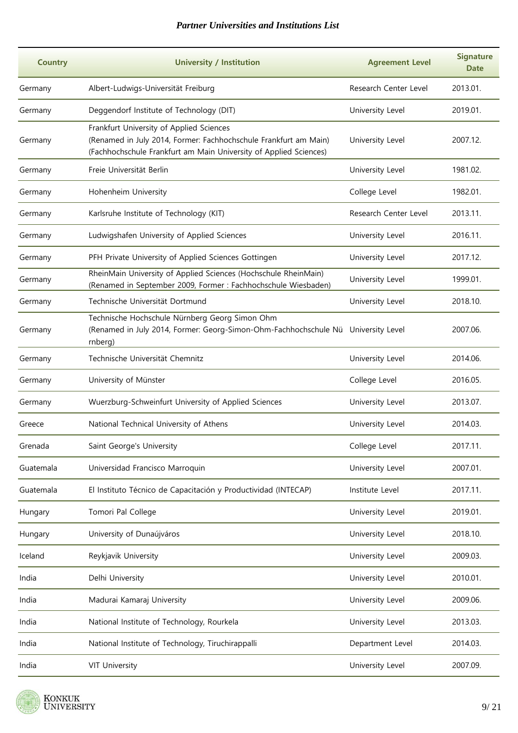| <b>Country</b> | <b>University / Institution</b>                                                                                                                                                   | <b>Agreement Level</b> | <b>Signature</b><br><b>Date</b> |
|----------------|-----------------------------------------------------------------------------------------------------------------------------------------------------------------------------------|------------------------|---------------------------------|
| Germany        | Albert-Ludwigs-Universität Freiburg                                                                                                                                               | Research Center Level  | 2013.01.                        |
| Germany        | Deggendorf Institute of Technology (DIT)                                                                                                                                          | University Level       | 2019.01.                        |
| Germany        | Frankfurt University of Applied Sciences<br>(Renamed in July 2014, Former: Fachhochschule Frankfurt am Main)<br>(Fachhochschule Frankfurt am Main University of Applied Sciences) | University Level       | 2007.12.                        |
| Germany        | Freie Universität Berlin                                                                                                                                                          | University Level       | 1981.02.                        |
| Germany        | Hohenheim University                                                                                                                                                              | College Level          | 1982.01.                        |
| Germany        | Karlsruhe Institute of Technology (KIT)                                                                                                                                           | Research Center Level  | 2013.11.                        |
| Germany        | Ludwigshafen University of Applied Sciences                                                                                                                                       | University Level       | 2016.11.                        |
| Germany        | PFH Private University of Applied Sciences Gottingen                                                                                                                              | University Level       | 2017.12.                        |
| Germany        | RheinMain University of Applied Sciences (Hochschule RheinMain)<br>(Renamed in September 2009, Former : Fachhochschule Wiesbaden)                                                 | University Level       | 1999.01.                        |
| Germany        | Technische Universität Dortmund                                                                                                                                                   | University Level       | 2018.10.                        |
| Germany        | Technische Hochschule Nürnberg Georg Simon Ohm<br>(Renamed in July 2014, Former: Georg-Simon-Ohm-Fachhochschule Nü University Level<br>rnberg)                                    |                        | 2007.06.                        |
| Germany        | Technische Universität Chemnitz                                                                                                                                                   | University Level       | 2014.06.                        |
| Germany        | University of Münster                                                                                                                                                             | College Level          | 2016.05.                        |
| Germany        | Wuerzburg-Schweinfurt University of Applied Sciences                                                                                                                              | University Level       | 2013.07.                        |
| Greece         | National Technical University of Athens                                                                                                                                           | University Level       | 2014.03.                        |
| Grenada        | Saint George's University                                                                                                                                                         | College Level          | 2017.11.                        |
| Guatemala      | Universidad Francisco Marroquin                                                                                                                                                   | University Level       | 2007.01.                        |
| Guatemala      | El Instituto Técnico de Capacitación y Productividad (INTECAP)                                                                                                                    | Institute Level        | 2017.11.                        |
| Hungary        | Tomori Pal College                                                                                                                                                                | University Level       | 2019.01.                        |
| Hungary        | University of Dunaújváros                                                                                                                                                         | University Level       | 2018.10.                        |
| Iceland        | Reykjavik University                                                                                                                                                              | University Level       | 2009.03.                        |
| India          | Delhi University                                                                                                                                                                  | University Level       | 2010.01.                        |
| India          | Madurai Kamaraj University                                                                                                                                                        | University Level       | 2009.06.                        |
| India          | National Institute of Technology, Rourkela                                                                                                                                        | University Level       | 2013.03.                        |
| India          | National Institute of Technology, Tiruchirappalli                                                                                                                                 | Department Level       | 2014.03.                        |
| India          | <b>VIT University</b>                                                                                                                                                             | University Level       | 2007.09.                        |

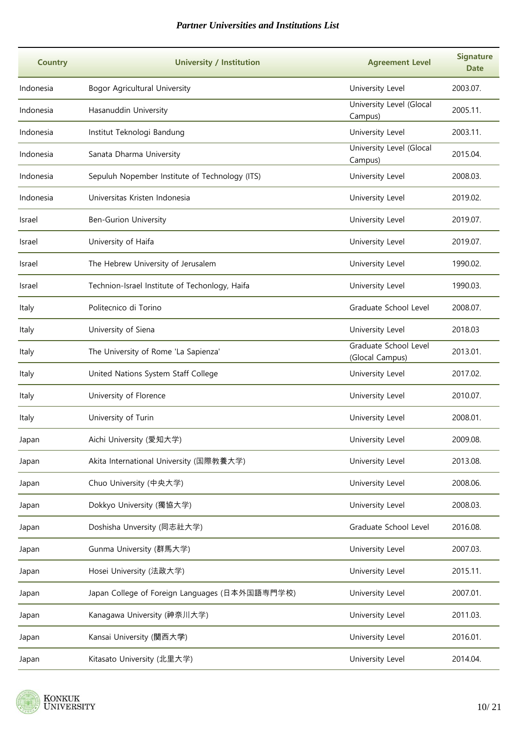| <b>Country</b> | <b>University / Institution</b>                | <b>Agreement Level</b>                   | <b>Signature</b><br><b>Date</b> |
|----------------|------------------------------------------------|------------------------------------------|---------------------------------|
| Indonesia      | Bogor Agricultural University                  | University Level                         | 2003.07.                        |
| Indonesia      | Hasanuddin University                          | University Level (Glocal<br>Campus)      | 2005.11.                        |
| Indonesia      | Institut Teknologi Bandung                     | University Level                         | 2003.11.                        |
| Indonesia      | Sanata Dharma University                       | University Level (Glocal<br>Campus)      | 2015.04.                        |
| Indonesia      | Sepuluh Nopember Institute of Technology (ITS) | University Level                         | 2008.03.                        |
| Indonesia      | Universitas Kristen Indonesia                  | University Level                         | 2019.02.                        |
| Israel         | <b>Ben-Gurion University</b>                   | University Level                         | 2019.07.                        |
| Israel         | University of Haifa                            | University Level                         | 2019.07.                        |
| Israel         | The Hebrew University of Jerusalem             | University Level                         | 1990.02.                        |
| Israel         | Technion-Israel Institute of Techonlogy, Haifa | University Level                         | 1990.03.                        |
| Italy          | Politecnico di Torino                          | Graduate School Level                    | 2008.07.                        |
| Italy          | University of Siena                            | University Level                         | 2018.03                         |
| Italy          | The University of Rome 'La Sapienza'           | Graduate School Level<br>(Glocal Campus) | 2013.01.                        |
| Italy          | United Nations System Staff College            | University Level                         | 2017.02.                        |
| Italy          | University of Florence                         | University Level                         | 2010.07.                        |
| Italy          | University of Turin                            | University Level                         | 2008.01.                        |
| Japan          | Aichi University (愛知大学)                        | University Level                         | 2009.08.                        |
| Japan          | Akita International University (国際教養大学)        | University Level                         | 2013.08.                        |
| Japan          | Chuo University (中央大学)                         | University Level                         | 2008.06.                        |
| Japan          | Dokkyo University (獨協大学)                       | University Level                         | 2008.03.                        |
| Japan          | Doshisha Unversity (同志社大学)                     | Graduate School Level                    | 2016.08.                        |
| Japan          | Gunma University (群馬大学)                        | University Level                         | 2007.03.                        |
| Japan          | Hosei University (法政大学)                        | University Level                         | 2015.11.                        |
| Japan          | Japan College of Foreign Languages (日本外国語専門学校) | University Level                         | 2007.01.                        |
| Japan          | Kanagawa University (神奈川大学)                    | University Level                         | 2011.03.                        |
| Japan          | Kansai University (関西大学)                       | University Level                         | 2016.01.                        |
| Japan          | Kitasato University (北里大学)                     | University Level                         | 2014.04.                        |

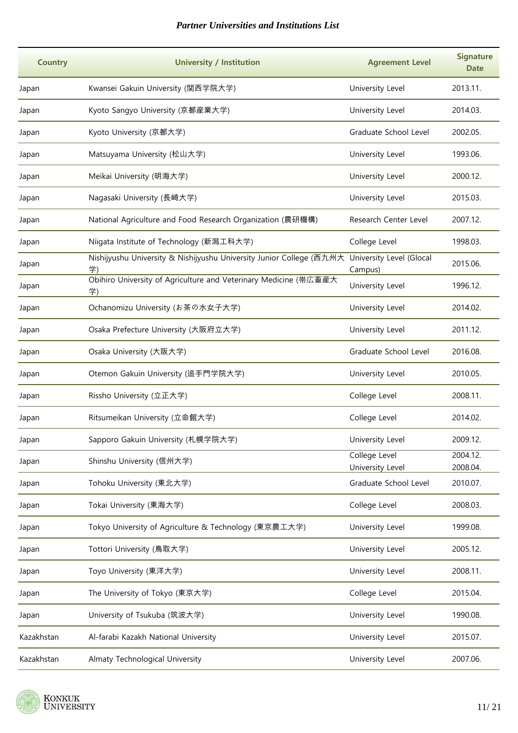| <b>Country</b> | <b>University / Institution</b>                                                                     | <b>Agreement Level</b>            | <b>Signature</b><br><b>Date</b> |
|----------------|-----------------------------------------------------------------------------------------------------|-----------------------------------|---------------------------------|
| Japan          | Kwansei Gakuin University (関西学院大学)                                                                  | University Level                  | 2013.11.                        |
| Japan          | Kyoto Sangyo University (京都産業大学)                                                                    | University Level                  | 2014.03.                        |
| Japan          | Kyoto University (京都大学)                                                                             | Graduate School Level             | 2002.05.                        |
| Japan          | Matsuyama University (松山大学)                                                                         | University Level                  | 1993.06.                        |
| Japan          | Meikai University (明海大学)                                                                            | University Level                  | 2000.12.                        |
| Japan          | Nagasaki University (長崎大学)                                                                          | University Level                  | 2015.03.                        |
| Japan          | National Agriculture and Food Research Organization (農研機構)                                          | Research Center Level             | 2007.12.                        |
| Japan          | Niigata Institute of Technology (新潟工科大学)                                                            | College Level                     | 1998.03.                        |
| Japan          | Nishijyushu University & Nishijyushu University Junior College (西九州大 University Level (Glocal<br>学) | Campus)                           | 2015.06.                        |
| Japan          | Obihiro University of Agriculture and Veterinary Medicine (帯広畜産大<br>学)                              | University Level                  | 1996.12.                        |
| Japan          | Ochanomizu University (お茶の水女子大学)                                                                    | University Level                  | 2014.02.                        |
| Japan          | Osaka Prefecture University (大阪府立大学)                                                                | University Level                  | 2011.12.                        |
| Japan          | Osaka University (大阪大学)                                                                             | Graduate School Level             | 2016.08.                        |
| Japan          | Otemon Gakuin University (追手門学院大学)                                                                  | University Level                  | 2010.05.                        |
| Japan          | Rissho University (立正大学)                                                                            | College Level                     | 2008.11.                        |
| Japan          | Ritsumeikan University (立命館大学)                                                                      | College Level                     | 2014.02.                        |
| Japan          | Sapporo Gakuin University (札幌学院大学)                                                                  | University Level                  | 2009.12.                        |
| Japan          | Shinshu University (信州大学)                                                                           | College Level<br>University Level | 2004.12.<br>2008.04.            |
| Japan          | Tohoku University (東北大学)                                                                            | Graduate School Level             | 2010.07.                        |
| Japan          | Tokai University (東海大学)                                                                             | College Level                     | 2008.03.                        |
| Japan          | Tokyo University of Agriculture & Technology (東京農工大学)                                               | University Level                  | 1999.08.                        |
| Japan          | Tottori University (鳥取大学)                                                                           | University Level                  | 2005.12.                        |
| Japan          | Toyo University (東洋大学)                                                                              | University Level                  | 2008.11.                        |
| Japan          | The University of Tokyo (東京大学)                                                                      | College Level                     | 2015.04.                        |
| Japan          | University of Tsukuba (筑波大学)                                                                        | University Level                  | 1990.08.                        |
| Kazakhstan     | Al-farabi Kazakh National University                                                                | University Level                  | 2015.07.                        |
| Kazakhstan     | Almaty Technological University                                                                     | University Level                  | 2007.06.                        |

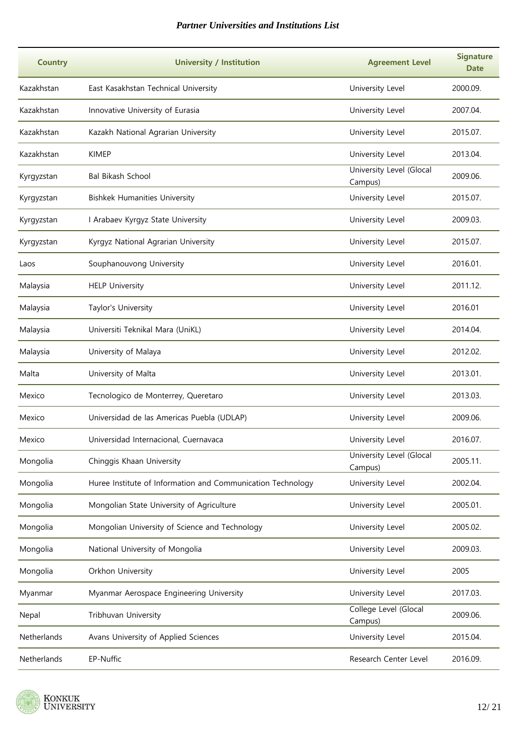| <b>Country</b> | <b>University / Institution</b>                             | <b>Agreement Level</b>              | <b>Signature</b><br><b>Date</b> |
|----------------|-------------------------------------------------------------|-------------------------------------|---------------------------------|
| Kazakhstan     | East Kasakhstan Technical University                        | University Level                    | 2000.09.                        |
| Kazakhstan     | Innovative University of Eurasia                            | University Level                    | 2007.04.                        |
| Kazakhstan     | Kazakh National Agrarian University                         | University Level                    | 2015.07.                        |
| Kazakhstan     | <b>KIMEP</b>                                                | University Level                    | 2013.04.                        |
| Kyrgyzstan     | <b>Bal Bikash School</b>                                    | University Level (Glocal<br>Campus) | 2009.06.                        |
| Kyrgyzstan     | <b>Bishkek Humanities University</b>                        | University Level                    | 2015.07.                        |
| Kyrgyzstan     | I Arabaev Kyrgyz State University                           | University Level                    | 2009.03.                        |
| Kyrgyzstan     | Kyrgyz National Agrarian University                         | University Level                    | 2015.07.                        |
| Laos           | Souphanouvong University                                    | University Level                    | 2016.01.                        |
| Malaysia       | <b>HELP University</b>                                      | University Level                    | 2011.12.                        |
| Malaysia       | Taylor's University                                         | University Level                    | 2016.01                         |
| Malaysia       | Universiti Teknikal Mara (UniKL)                            | University Level                    | 2014.04.                        |
| Malaysia       | University of Malaya                                        | University Level                    | 2012.02.                        |
| Malta          | University of Malta                                         | University Level                    | 2013.01.                        |
| Mexico         | Tecnologico de Monterrey, Queretaro                         | University Level                    | 2013.03.                        |
| Mexico         | Universidad de las Americas Puebla (UDLAP)                  | University Level                    | 2009.06.                        |
| Mexico         | Universidad Internacional, Cuernavaca                       | University Level                    | 2016.07.                        |
| Mongolia       | Chinggis Khaan University                                   | University Level (Glocal<br>Campus) | 2005.11.                        |
| Mongolia       | Huree Institute of Information and Communication Technology | University Level                    | 2002.04.                        |
| Mongolia       | Mongolian State University of Agriculture                   | University Level                    | 2005.01.                        |
| Mongolia       | Mongolian University of Science and Technology              | University Level                    | 2005.02.                        |
| Mongolia       | National University of Mongolia                             | University Level                    | 2009.03.                        |
| Mongolia       | Orkhon University                                           | University Level                    | 2005                            |
| Myanmar        | Myanmar Aerospace Engineering University                    | University Level                    | 2017.03.                        |
| Nepal          | Tribhuvan University                                        | College Level (Glocal<br>Campus)    | 2009.06.                        |
| Netherlands    | Avans University of Applied Sciences                        | University Level                    | 2015.04.                        |
| Netherlands    | EP-Nuffic                                                   | Research Center Level               | 2016.09.                        |

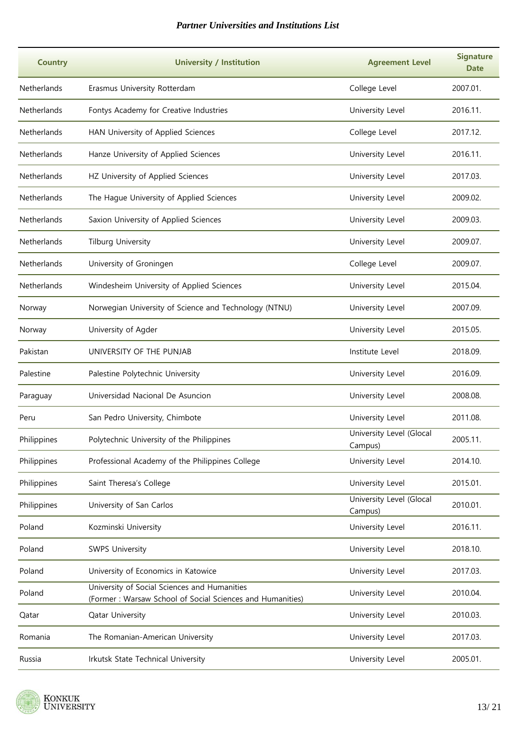| <b>Country</b>     | <b>University / Institution</b>                                                                           | <b>Agreement Level</b>              | <b>Signature</b><br><b>Date</b> |
|--------------------|-----------------------------------------------------------------------------------------------------------|-------------------------------------|---------------------------------|
| Netherlands        | Erasmus University Rotterdam                                                                              | College Level                       | 2007.01.                        |
| Netherlands        | Fontys Academy for Creative Industries                                                                    | University Level                    | 2016.11.                        |
| <b>Netherlands</b> | HAN University of Applied Sciences                                                                        | College Level                       | 2017.12.                        |
| <b>Netherlands</b> | Hanze University of Applied Sciences                                                                      | University Level                    | 2016.11.                        |
| <b>Netherlands</b> | HZ University of Applied Sciences                                                                         | University Level                    | 2017.03.                        |
| Netherlands        | The Hague University of Applied Sciences                                                                  | University Level                    | 2009.02.                        |
| Netherlands        | Saxion University of Applied Sciences                                                                     | University Level                    | 2009.03.                        |
| Netherlands        | <b>Tilburg University</b>                                                                                 | University Level                    | 2009.07.                        |
| <b>Netherlands</b> | University of Groningen                                                                                   | College Level                       | 2009.07.                        |
| Netherlands        | Windesheim University of Applied Sciences                                                                 | University Level                    | 2015.04.                        |
| Norway             | Norwegian University of Science and Technology (NTNU)                                                     | University Level                    | 2007.09.                        |
| Norway             | University of Agder                                                                                       | University Level                    | 2015.05.                        |
| Pakistan           | UNIVERSITY OF THE PUNJAB                                                                                  | Institute Level                     | 2018.09.                        |
| Palestine          | Palestine Polytechnic University                                                                          | University Level                    | 2016.09.                        |
| Paraguay           | Universidad Nacional De Asuncion                                                                          | University Level                    | 2008.08.                        |
| Peru               | San Pedro University, Chimbote                                                                            | University Level                    | 2011.08.                        |
| Philippines        | Polytechnic University of the Philippines                                                                 | University Level (Glocal<br>Campus) | 2005.11.                        |
| Philippines        | Professional Academy of the Philippines College                                                           | University Level                    | 2014.10.                        |
| Philippines        | Saint Theresa's College                                                                                   | University Level                    | 2015.01.                        |
| Philippines        | University of San Carlos                                                                                  | University Level (Glocal<br>Campus) | 2010.01.                        |
| Poland             | Kozminski University                                                                                      | University Level                    | 2016.11.                        |
| Poland             | <b>SWPS University</b>                                                                                    | University Level                    | 2018.10.                        |
| Poland             | University of Economics in Katowice                                                                       | University Level                    | 2017.03.                        |
| Poland             | University of Social Sciences and Humanities<br>(Former: Warsaw School of Social Sciences and Humanities) | University Level                    | 2010.04.                        |
| Qatar              | Qatar University                                                                                          | University Level                    | 2010.03.                        |
| Romania            | The Romanian-American University                                                                          | University Level                    | 2017.03.                        |
| Russia             | Irkutsk State Technical University                                                                        | University Level                    | 2005.01.                        |

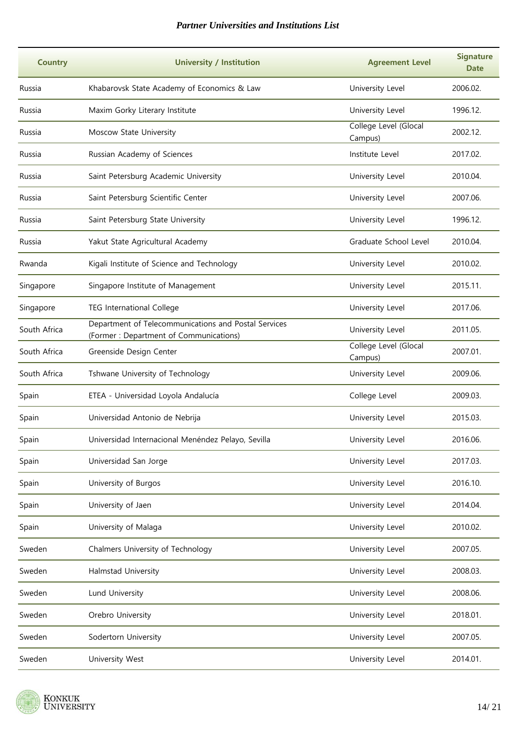| <b>Country</b> | <b>University / Institution</b>                                                                | <b>Agreement Level</b>           | <b>Signature</b><br><b>Date</b> |
|----------------|------------------------------------------------------------------------------------------------|----------------------------------|---------------------------------|
| Russia         | Khabarovsk State Academy of Economics & Law                                                    | University Level                 | 2006.02.                        |
| Russia         | Maxim Gorky Literary Institute                                                                 | University Level                 | 1996.12.                        |
| Russia         | Moscow State University                                                                        | College Level (Glocal<br>Campus) | 2002.12.                        |
| Russia         | Russian Academy of Sciences                                                                    | Institute Level                  | 2017.02.                        |
| Russia         | Saint Petersburg Academic University                                                           | University Level                 | 2010.04.                        |
| Russia         | Saint Petersburg Scientific Center                                                             | University Level                 | 2007.06.                        |
| Russia         | Saint Petersburg State University                                                              | University Level                 | 1996.12.                        |
| Russia         | Yakut State Agricultural Academy                                                               | Graduate School Level            | 2010.04.                        |
| Rwanda         | Kigali Institute of Science and Technology                                                     | University Level                 | 2010.02.                        |
| Singapore      | Singapore Institute of Management                                                              | University Level                 | 2015.11.                        |
| Singapore      | <b>TEG International College</b>                                                               | University Level                 | 2017.06.                        |
| South Africa   | Department of Telecommunications and Postal Services<br>(Former: Department of Communications) | University Level                 | 2011.05.                        |
| South Africa   | Greenside Design Center                                                                        | College Level (Glocal<br>Campus) | 2007.01.                        |
| South Africa   | Tshwane University of Technology                                                               | University Level                 | 2009.06.                        |
| Spain          | ETEA - Universidad Loyola Andalucía                                                            | College Level                    | 2009.03.                        |
| Spain          | Universidad Antonio de Nebrija                                                                 | University Level                 | 2015.03.                        |
| Spain          | Universidad Internacional Menéndez Pelayo, Sevilla                                             | University Level                 | 2016.06.                        |
| Spain          | Universidad San Jorge                                                                          | University Level                 | 2017.03.                        |
| Spain          | University of Burgos                                                                           | University Level                 | 2016.10.                        |
| Spain          | University of Jaen                                                                             | University Level                 | 2014.04.                        |
| Spain          | University of Malaga                                                                           | University Level                 | 2010.02.                        |
| Sweden         | Chalmers University of Technology                                                              | University Level                 | 2007.05.                        |
| Sweden         | Halmstad University                                                                            | University Level                 | 2008.03.                        |
| Sweden         | Lund University                                                                                | University Level                 | 2008.06.                        |
| Sweden         | Orebro University                                                                              | University Level                 | 2018.01.                        |
| Sweden         | Sodertorn University                                                                           | University Level                 | 2007.05.                        |
| Sweden         | University West                                                                                | University Level                 | 2014.01.                        |

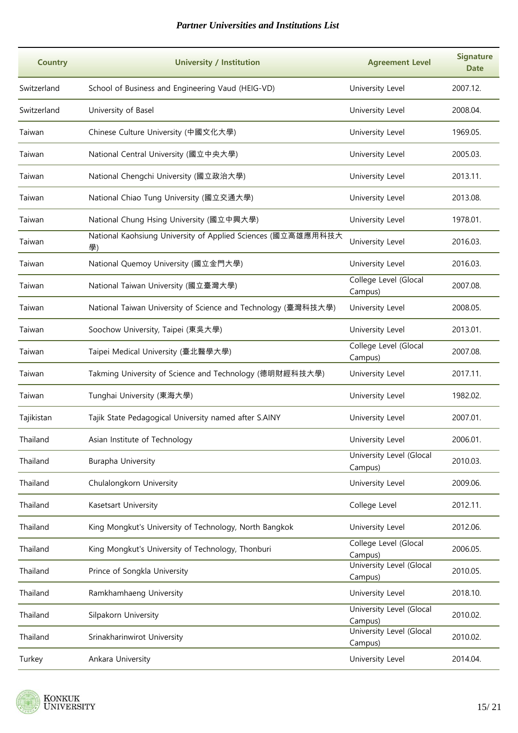| <b>Country</b> | <b>University / Institution</b>                                    | <b>Agreement Level</b>              | <b>Signature</b><br>Date |
|----------------|--------------------------------------------------------------------|-------------------------------------|--------------------------|
| Switzerland    | School of Business and Engineering Vaud (HEIG-VD)                  | University Level                    | 2007.12.                 |
| Switzerland    | University of Basel                                                | University Level                    | 2008.04.                 |
| Taiwan         | Chinese Culture University (中國文化大學)                                | University Level                    | 1969.05.                 |
| Taiwan         | National Central University (國立中央大學)                               | University Level                    | 2005.03.                 |
| Taiwan         | National Chengchi University (國立政治大學)                              | University Level                    | 2013.11.                 |
| Taiwan         | National Chiao Tung University (國立交通大學)                            | University Level                    | 2013.08.                 |
| Taiwan         | National Chung Hsing University (國立中興大學)                           | University Level                    | 1978.01.                 |
| Taiwan         | National Kaohsiung University of Applied Sciences (國立高雄應用科技大<br>學) | University Level                    | 2016.03.                 |
| Taiwan         | National Quemoy University (國立金門大學)                                | University Level                    | 2016.03.                 |
| Taiwan         | National Taiwan University (國立臺灣大學)                                | College Level (Glocal<br>Campus)    | 2007.08.                 |
| Taiwan         | National Taiwan University of Science and Technology (臺灣科技大學)      | University Level                    | 2008.05.                 |
| Taiwan         | Soochow University, Taipei (東吳大學)                                  | University Level                    | 2013.01.                 |
| Taiwan         | Taipei Medical University (臺北醫學大學)                                 | College Level (Glocal<br>Campus)    | 2007.08.                 |
| Taiwan         | Takming University of Science and Technology (德明財經科技大學)            | University Level                    | 2017.11.                 |
| Taiwan         | Tunghai University (東海大學)                                          | University Level                    | 1982.02.                 |
| Tajikistan     | Tajik State Pedagogical University named after S.AINY              | University Level                    | 2007.01.                 |
| Thailand       | Asian Institute of Technology                                      | University Level                    | 2006.01.                 |
| Thailand       | Burapha University                                                 | University Level (Glocal<br>Campus) | 2010.03.                 |
| Thailand       | Chulalongkorn University                                           | University Level                    | 2009.06.                 |
| Thailand       | Kasetsart University                                               | College Level                       | 2012.11.                 |
| Thailand       | King Mongkut's University of Technology, North Bangkok             | University Level                    | 2012.06.                 |
| Thailand       | King Mongkut's University of Technology, Thonburi                  | College Level (Glocal<br>Campus)    | 2006.05.                 |
| Thailand       | Prince of Songkla University                                       | University Level (Glocal<br>Campus) | 2010.05.                 |
| Thailand       | Ramkhamhaeng University                                            | University Level                    | 2018.10.                 |
| Thailand       | Silpakorn University                                               | University Level (Glocal<br>Campus) | 2010.02.                 |
| Thailand       | Srinakharinwirot University                                        | University Level (Glocal<br>Campus) | 2010.02.                 |
| Turkey         | Ankara University                                                  | University Level                    | 2014.04.                 |

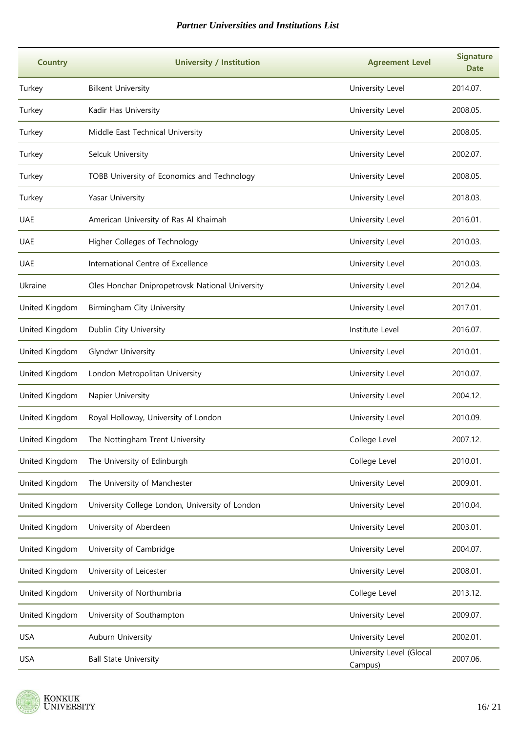| <b>Country</b> | <b>University / Institution</b>                 | <b>Agreement Level</b>              | <b>Signature</b><br><b>Date</b> |
|----------------|-------------------------------------------------|-------------------------------------|---------------------------------|
| Turkey         | <b>Bilkent University</b>                       | University Level                    | 2014.07.                        |
| Turkey         | Kadir Has University                            | University Level                    | 2008.05.                        |
| Turkey         | Middle East Technical University                | University Level                    | 2008.05.                        |
| Turkey         | Selcuk University                               | University Level                    | 2002.07.                        |
| Turkey         | TOBB University of Economics and Technology     | University Level                    | 2008.05.                        |
| Turkey         | Yasar University                                | University Level                    | 2018.03.                        |
| <b>UAE</b>     | American University of Ras Al Khaimah           | University Level                    | 2016.01.                        |
| <b>UAE</b>     | Higher Colleges of Technology                   | University Level                    | 2010.03.                        |
| <b>UAE</b>     | International Centre of Excellence              | University Level                    | 2010.03.                        |
| Ukraine        | Oles Honchar Dnipropetrovsk National University | University Level                    | 2012.04.                        |
| United Kingdom | Birmingham City University                      | University Level                    | 2017.01.                        |
| United Kingdom | Dublin City University                          | Institute Level                     | 2016.07.                        |
| United Kingdom | Glyndwr University                              | University Level                    | 2010.01.                        |
| United Kingdom | London Metropolitan University                  | University Level                    | 2010.07.                        |
| United Kingdom | Napier University                               | University Level                    | 2004.12.                        |
| United Kingdom | Royal Holloway, University of London            | University Level                    | 2010.09.                        |
| United Kingdom | The Nottingham Trent University                 | College Level                       | 2007.12.                        |
| United Kingdom | The University of Edinburgh                     | College Level                       | 2010.01.                        |
| United Kingdom | The University of Manchester                    | University Level                    | 2009.01.                        |
| United Kingdom | University College London, University of London | University Level                    | 2010.04.                        |
| United Kingdom | University of Aberdeen                          | University Level                    | 2003.01.                        |
| United Kingdom | University of Cambridge                         | University Level                    | 2004.07.                        |
| United Kingdom | University of Leicester                         | University Level                    | 2008.01.                        |
| United Kingdom | University of Northumbria                       | College Level                       | 2013.12.                        |
| United Kingdom | University of Southampton                       | University Level                    | 2009.07.                        |
| <b>USA</b>     | Auburn University                               | University Level                    | 2002.01.                        |
| <b>USA</b>     | <b>Ball State University</b>                    | University Level (Glocal<br>Campus) | 2007.06.                        |

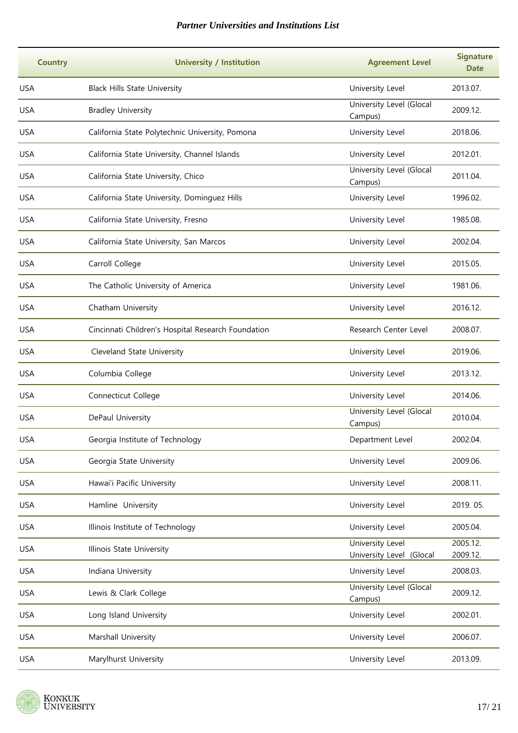| <b>Country</b> | <b>University / Institution</b>                    | <b>Agreement Level</b>                       | <b>Signature</b><br><b>Date</b> |
|----------------|----------------------------------------------------|----------------------------------------------|---------------------------------|
| <b>USA</b>     | <b>Black Hills State University</b>                | University Level                             | 2013.07.                        |
| <b>USA</b>     | <b>Bradley University</b>                          | University Level (Glocal<br>Campus)          | 2009.12.                        |
| <b>USA</b>     | California State Polytechnic University, Pomona    | University Level                             | 2018.06.                        |
| <b>USA</b>     | California State University, Channel Islands       | University Level                             | 2012.01.                        |
| <b>USA</b>     | California State University, Chico                 | University Level (Glocal<br>Campus)          | 2011.04.                        |
| <b>USA</b>     | California State University, Dominguez Hills       | University Level                             | 1996.02.                        |
| <b>USA</b>     | California State University, Fresno                | University Level                             | 1985.08.                        |
| <b>USA</b>     | California State University, San Marcos            | University Level                             | 2002.04.                        |
| <b>USA</b>     | Carroll College                                    | University Level                             | 2015.05.                        |
| <b>USA</b>     | The Catholic University of America                 | University Level                             | 1981.06.                        |
| <b>USA</b>     | Chatham University                                 | University Level                             | 2016.12.                        |
| <b>USA</b>     | Cincinnati Children's Hospital Research Foundation | Research Center Level                        | 2008.07.                        |
| <b>USA</b>     | Cleveland State University                         | University Level                             | 2019.06.                        |
| <b>USA</b>     | Columbia College                                   | University Level                             | 2013.12.                        |
| <b>USA</b>     | Connecticut College                                | University Level                             | 2014.06.                        |
| <b>USA</b>     | DePaul University                                  | University Level (Glocal<br>Campus)          | 2010.04.                        |
| <b>USA</b>     | Georgia Institute of Technology                    | Department Level                             | 2002.04.                        |
| <b>USA</b>     | Georgia State University                           | University Level                             | 2009.06.                        |
| <b>USA</b>     | Hawai'i Pacific University                         | University Level                             | 2008.11.                        |
| <b>USA</b>     | Hamline University                                 | University Level                             | 2019.05.                        |
| <b>USA</b>     | Illinois Institute of Technology                   | University Level                             | 2005.04.                        |
| <b>USA</b>     | Illinois State University                          | University Level<br>University Level (Glocal | 2005.12.<br>2009.12.            |
| <b>USA</b>     | Indiana University                                 | University Level                             | 2008.03.                        |
| <b>USA</b>     | Lewis & Clark College                              | University Level (Glocal<br>Campus)          | 2009.12.                        |
| <b>USA</b>     | Long Island University                             | University Level                             | 2002.01.                        |
| <b>USA</b>     | Marshall University                                | University Level                             | 2006.07.                        |
| <b>USA</b>     | Marylhurst University                              | University Level                             | 2013.09.                        |

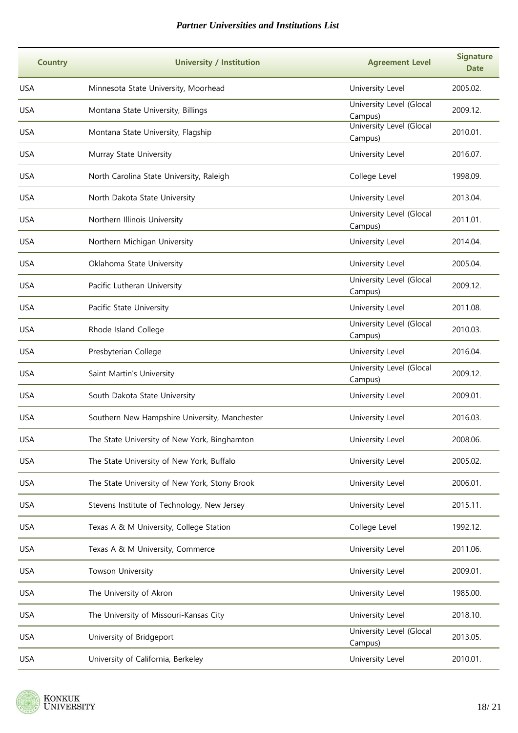| <b>Country</b> | <b>University / Institution</b>               | <b>Agreement Level</b>              | <b>Signature</b><br><b>Date</b> |
|----------------|-----------------------------------------------|-------------------------------------|---------------------------------|
| <b>USA</b>     | Minnesota State University, Moorhead          | University Level                    | 2005.02.                        |
| <b>USA</b>     | Montana State University, Billings            | University Level (Glocal<br>Campus) | 2009.12.                        |
| <b>USA</b>     | Montana State University, Flagship            | University Level (Glocal<br>Campus) | 2010.01.                        |
| <b>USA</b>     | Murray State University                       | University Level                    | 2016.07.                        |
| <b>USA</b>     | North Carolina State University, Raleigh      | College Level                       | 1998.09.                        |
| <b>USA</b>     | North Dakota State University                 | University Level                    | 2013.04.                        |
| <b>USA</b>     | Northern Illinois University                  | University Level (Glocal<br>Campus) | 2011.01.                        |
| <b>USA</b>     | Northern Michigan University                  | University Level                    | 2014.04.                        |
| <b>USA</b>     | Oklahoma State University                     | University Level                    | 2005.04.                        |
| <b>USA</b>     | Pacific Lutheran University                   | University Level (Glocal<br>Campus) | 2009.12.                        |
| <b>USA</b>     | Pacific State University                      | University Level                    | 2011.08.                        |
| <b>USA</b>     | Rhode Island College                          | University Level (Glocal<br>Campus) | 2010.03.                        |
| <b>USA</b>     | Presbyterian College                          | University Level                    | 2016.04.                        |
| <b>USA</b>     | Saint Martin's University                     | University Level (Glocal<br>Campus) | 2009.12.                        |
| <b>USA</b>     | South Dakota State University                 | University Level                    | 2009.01.                        |
| <b>USA</b>     | Southern New Hampshire University, Manchester | University Level                    | 2016.03.                        |
| <b>USA</b>     | The State University of New York, Binghamton  | University Level                    | 2008.06.                        |
| <b>USA</b>     | The State University of New York, Buffalo     | University Level                    | 2005.02.                        |
| <b>USA</b>     | The State University of New York, Stony Brook | University Level                    | 2006.01.                        |
| <b>USA</b>     | Stevens Institute of Technology, New Jersey   | University Level                    | 2015.11.                        |
| <b>USA</b>     | Texas A & M University, College Station       | College Level                       | 1992.12.                        |
| <b>USA</b>     | Texas A & M University, Commerce              | University Level                    | 2011.06.                        |
| <b>USA</b>     | Towson University                             | University Level                    | 2009.01.                        |
| <b>USA</b>     | The University of Akron                       | University Level                    | 1985.00.                        |
| <b>USA</b>     | The University of Missouri-Kansas City        | University Level                    | 2018.10.                        |
| <b>USA</b>     | University of Bridgeport                      | University Level (Glocal<br>Campus) | 2013.05.                        |
| <b>USA</b>     | University of California, Berkeley            | University Level                    | 2010.01.                        |

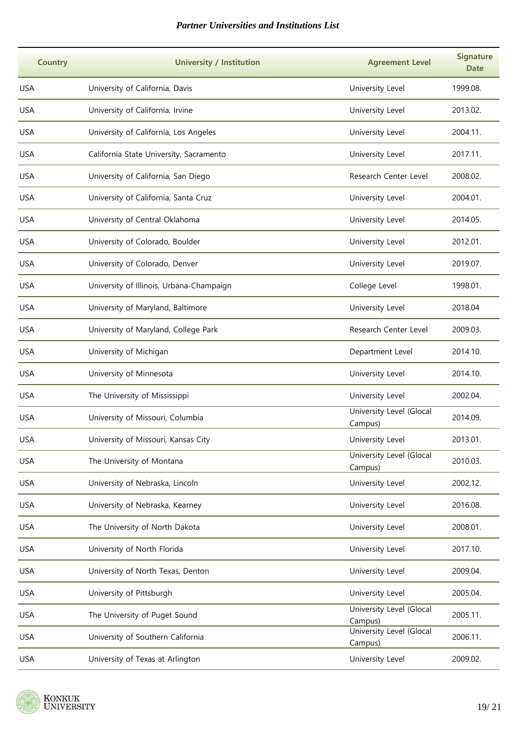| <b>Country</b> | <b>University / Institution</b>          | <b>Agreement Level</b>              | <b>Signature</b><br><b>Date</b> |
|----------------|------------------------------------------|-------------------------------------|---------------------------------|
| <b>USA</b>     | University of California, Davis          | University Level                    | 1999.08.                        |
| <b>USA</b>     | University of California, Irvine         | University Level                    | 2013.02.                        |
| <b>USA</b>     | University of California, Los Angeles    | University Level                    | 2004.11.                        |
| <b>USA</b>     | California State University, Sacramento  | University Level                    | 2017.11.                        |
| <b>USA</b>     | University of California, San Diego      | Research Center Level               | 2008.02.                        |
| <b>USA</b>     | University of California, Santa Cruz     | University Level                    | 2004.01.                        |
| <b>USA</b>     | University of Central Oklahoma           | University Level                    | 2014.05.                        |
| <b>USA</b>     | University of Colorado, Boulder          | University Level                    | 2012.01.                        |
| <b>USA</b>     | University of Colorado, Denver           | University Level                    | 2019.07.                        |
| <b>USA</b>     | University of Illinois, Urbana-Champaign | College Level                       | 1998.01.                        |
| <b>USA</b>     | University of Maryland, Baltimore        | University Level                    | 2018.04                         |
| <b>USA</b>     | University of Maryland, College Park     | Research Center Level               | 2009.03.                        |
| <b>USA</b>     | University of Michigan                   | Department Level                    | 2014.10.                        |
| <b>USA</b>     | University of Minnesota                  | University Level                    | 2014.10.                        |
| <b>USA</b>     | The University of Mississippi            | University Level                    | 2002.04.                        |
| <b>USA</b>     | University of Missouri, Columbia         | University Level (Glocal<br>Campus) | 2014.09.                        |
| <b>USA</b>     | University of Missouri, Kansas City      | University Level                    | 2013.01.                        |
| <b>USA</b>     | The University of Montana                | University Level (Glocal<br>Campus) | 2010.03.                        |
| <b>USA</b>     | University of Nebraska, Lincoln          | University Level                    | 2002.12.                        |
| <b>USA</b>     | University of Nebraska, Kearney          | University Level                    | 2016.08.                        |
| <b>USA</b>     | The University of North Dakota           | University Level                    | 2008.01.                        |
| <b>USA</b>     | University of North Florida              | University Level                    | 2017.10.                        |
| <b>USA</b>     | University of North Texas, Denton        | University Level                    | 2009.04.                        |
| <b>USA</b>     | University of Pittsburgh                 | University Level                    | 2005.04.                        |
| <b>USA</b>     | The University of Puget Sound            | University Level (Glocal<br>Campus) | 2005.11.                        |
| <b>USA</b>     | University of Southern California        | University Level (Glocal<br>Campus) | 2006.11.                        |
| <b>USA</b>     | University of Texas at Arlington         | University Level                    | 2009.02.                        |

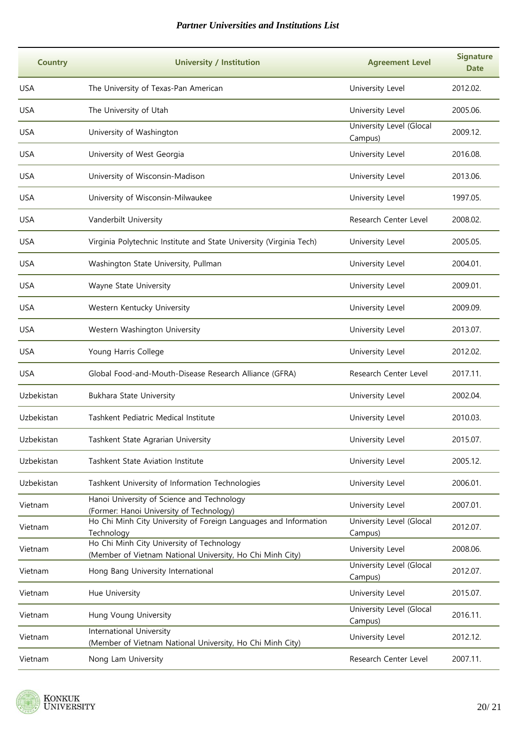| <b>Country</b> | <b>University / Institution</b>                                                                        | <b>Agreement Level</b>              | <b>Signature</b><br><b>Date</b> |
|----------------|--------------------------------------------------------------------------------------------------------|-------------------------------------|---------------------------------|
| <b>USA</b>     | The University of Texas-Pan American                                                                   | University Level                    | 2012.02.                        |
| <b>USA</b>     | The University of Utah                                                                                 | University Level                    | 2005.06.                        |
| <b>USA</b>     | University of Washington                                                                               | University Level (Glocal<br>Campus) | 2009.12.                        |
| <b>USA</b>     | University of West Georgia                                                                             | University Level                    | 2016.08.                        |
| <b>USA</b>     | University of Wisconsin-Madison                                                                        | University Level                    | 2013.06.                        |
| <b>USA</b>     | University of Wisconsin-Milwaukee                                                                      | University Level                    | 1997.05.                        |
| <b>USA</b>     | Vanderbilt University                                                                                  | Research Center Level               | 2008.02.                        |
| <b>USA</b>     | Virginia Polytechnic Institute and State University (Virginia Tech)                                    | University Level                    | 2005.05.                        |
| <b>USA</b>     | Washington State University, Pullman                                                                   | University Level                    | 2004.01.                        |
| <b>USA</b>     | Wayne State University                                                                                 | University Level                    | 2009.01.                        |
| <b>USA</b>     | Western Kentucky University                                                                            | University Level                    | 2009.09.                        |
| <b>USA</b>     | Western Washington University                                                                          | University Level                    | 2013.07.                        |
| <b>USA</b>     | Young Harris College                                                                                   | University Level                    | 2012.02.                        |
| <b>USA</b>     | Global Food-and-Mouth-Disease Research Alliance (GFRA)                                                 | Research Center Level               | 2017.11.                        |
| Uzbekistan     | <b>Bukhara State University</b>                                                                        | University Level                    | 2002.04.                        |
| Uzbekistan     | Tashkent Pediatric Medical Institute                                                                   | University Level                    | 2010.03.                        |
| Uzbekistan     | Tashkent State Agrarian University                                                                     | University Level                    | 2015.07.                        |
| Uzbekistan     | Tashkent State Aviation Institute                                                                      | University Level                    | 2005.12.                        |
| Uzbekistan     | Tashkent University of Information Technologies                                                        | University Level                    | 2006.01.                        |
| Vietnam        | Hanoi University of Science and Technology<br>(Former: Hanoi University of Technology)                 | University Level                    | 2007.01.                        |
| Vietnam        | Ho Chi Minh City University of Foreign Languages and Information<br>Technology                         | University Level (Glocal<br>Campus) | 2012.07.                        |
| Vietnam        | Ho Chi Minh City University of Technology<br>(Member of Vietnam National University, Ho Chi Minh City) | University Level                    | 2008.06.                        |
| Vietnam        | Hong Bang University International                                                                     | University Level (Glocal<br>Campus) | 2012.07.                        |
| Vietnam        | Hue University                                                                                         | University Level                    | 2015.07.                        |
| Vietnam        | Hung Voung University                                                                                  | University Level (Glocal<br>Campus) | 2016.11.                        |
| Vietnam        | International University<br>(Member of Vietnam National University, Ho Chi Minh City)                  | University Level                    | 2012.12.                        |
| Vietnam        | Nong Lam University                                                                                    | Research Center Level               | 2007.11.                        |